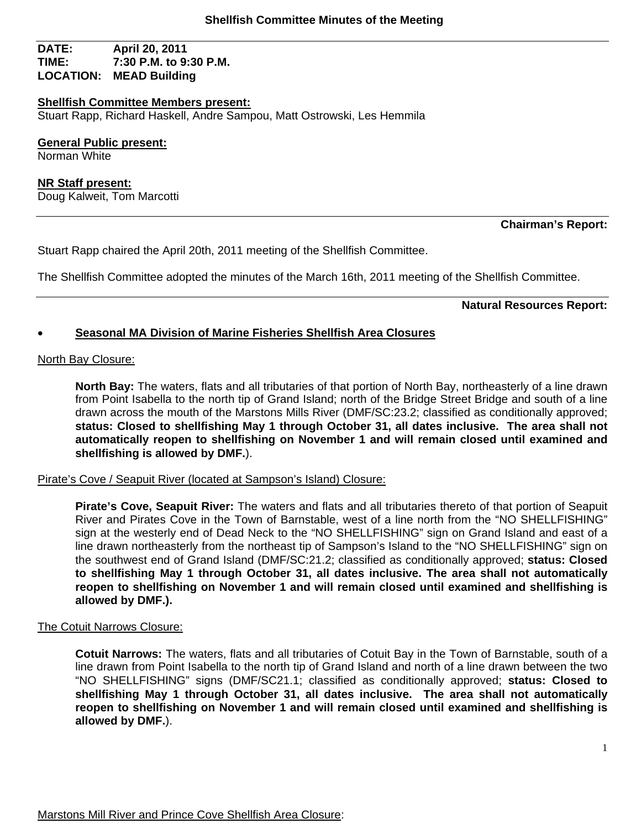## **DATE: April 20, 2011 TIME: 7:30 P.M. to 9:30 P.M. LOCATION: MEAD Building**

#### **Shellfish Committee Members present:**

Stuart Rapp, Richard Haskell, Andre Sampou, Matt Ostrowski, Les Hemmila

**General Public present:** 

Norman White

**NR Staff present:** Doug Kalweit, Tom Marcotti

## **Chairman's Report:**

Stuart Rapp chaired the April 20th, 2011 meeting of the Shellfish Committee.

The Shellfish Committee adopted the minutes of the March 16th, 2011 meeting of the Shellfish Committee.

**Natural Resources Report:** 

## **Seasonal MA Division of Marine Fisheries Shellfish Area Closures**

#### North Bay Closure:

**North Bay:** The waters, flats and all tributaries of that portion of North Bay, northeasterly of a line drawn from Point Isabella to the north tip of Grand Island; north of the Bridge Street Bridge and south of a line drawn across the mouth of the Marstons Mills River (DMF/SC:23.2; classified as conditionally approved; **status: Closed to shellfishing May 1 through October 31, all dates inclusive. The area shall not automatically reopen to shellfishing on November 1 and will remain closed until examined and shellfishing is allowed by DMF.**).

Pirate's Cove / Seapuit River (located at Sampson's Island) Closure:

**Pirate's Cove, Seapuit River:** The waters and flats and all tributaries thereto of that portion of Seapuit River and Pirates Cove in the Town of Barnstable, west of a line north from the "NO SHELLFISHING" sign at the westerly end of Dead Neck to the "NO SHELLFISHING" sign on Grand Island and east of a line drawn northeasterly from the northeast tip of Sampson's Island to the "NO SHELLFISHING" sign on the southwest end of Grand Island (DMF/SC:21.2; classified as conditionally approved; **status: Closed to shellfishing May 1 through October 31, all dates inclusive. The area shall not automatically reopen to shellfishing on November 1 and will remain closed until examined and shellfishing is allowed by DMF.).** 

## The Cotuit Narrows Closure:

**Cotuit Narrows:** The waters, flats and all tributaries of Cotuit Bay in the Town of Barnstable, south of a line drawn from Point Isabella to the north tip of Grand Island and north of a line drawn between the two "NO SHELLFISHING" signs (DMF/SC21.1; classified as conditionally approved; **status: Closed to shellfishing May 1 through October 31, all dates inclusive. The area shall not automatically reopen to shellfishing on November 1 and will remain closed until examined and shellfishing is allowed by DMF.**).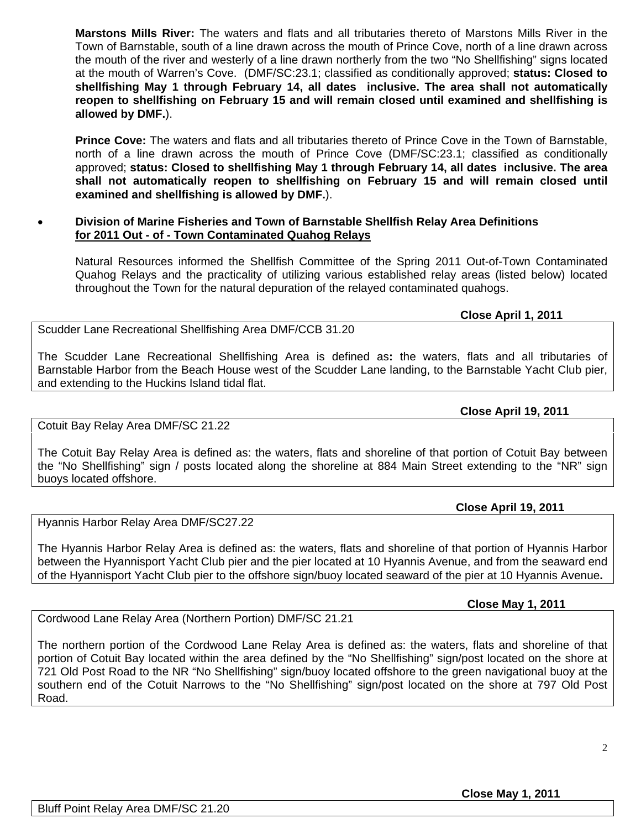**Marstons Mills River:** The waters and flats and all tributaries thereto of Marstons Mills River in the Town of Barnstable, south of a line drawn across the mouth of Prince Cove, north of a line drawn across the mouth of the river and westerly of a line drawn northerly from the two "No Shellfishing" signs located at the mouth of Warren's Cove. (DMF/SC:23.1; classified as conditionally approved; **status: Closed to shellfishing May 1 through February 14, all dates inclusive. The area shall not automatically reopen to shellfishing on February 15 and will remain closed until examined and shellfishing is allowed by DMF.**).

**Prince Cove:** The waters and flats and all tributaries thereto of Prince Cove in the Town of Barnstable, north of a line drawn across the mouth of Prince Cove (DMF/SC:23.1; classified as conditionally approved; **status: Closed to shellfishing May 1 through February 14, all dates inclusive. The area shall not automatically reopen to shellfishing on February 15 and will remain closed until examined and shellfishing is allowed by DMF.**).

# **Division of Marine Fisheries and Town of Barnstable Shellfish Relay Area Definitions for 2011 Out - of - Town Contaminated Quahog Relays**

Natural Resources informed the Shellfish Committee of the Spring 2011 Out-of-Town Contaminated Quahog Relays and the practicality of utilizing various established relay areas (listed below) located throughout the Town for the natural depuration of the relayed contaminated quahogs.

 **Close April 1, 2011** 

Scudder Lane Recreational Shellfishing Area DMF/CCB 31.20

The Scudder Lane Recreational Shellfishing Area is defined as**:** the waters, flats and all tributaries of Barnstable Harbor from the Beach House west of the Scudder Lane landing, to the Barnstable Yacht Club pier, and extending to the Huckins Island tidal flat.

## **Close April 19, 2011**

Cotuit Bay Relay Area DMF/SC 21.22

The Cotuit Bay Relay Area is defined as: the waters, flats and shoreline of that portion of Cotuit Bay between the "No Shellfishing" sign / posts located along the shoreline at 884 Main Street extending to the "NR" sign buoys located offshore.

# **Close April 19, 2011**

Hyannis Harbor Relay Area DMF/SC27.22

The Hyannis Harbor Relay Area is defined as: the waters, flats and shoreline of that portion of Hyannis Harbor between the Hyannisport Yacht Club pier and the pier located at 10 Hyannis Avenue, and from the seaward end of the Hyannisport Yacht Club pier to the offshore sign/buoy located seaward of the pier at 10 Hyannis Avenue**.** 

# **Close May 1, 2011**

Cordwood Lane Relay Area (Northern Portion) DMF/SC 21.21

The northern portion of the Cordwood Lane Relay Area is defined as: the waters, flats and shoreline of that portion of Cotuit Bay located within the area defined by the "No Shellfishing" sign/post located on the shore at 721 Old Post Road to the NR "No Shellfishing" sign/buoy located offshore to the green navigational buoy at the southern end of the Cotuit Narrows to the "No Shellfishing" sign/post located on the shore at 797 Old Post Road.

# **Close May 1, 2011**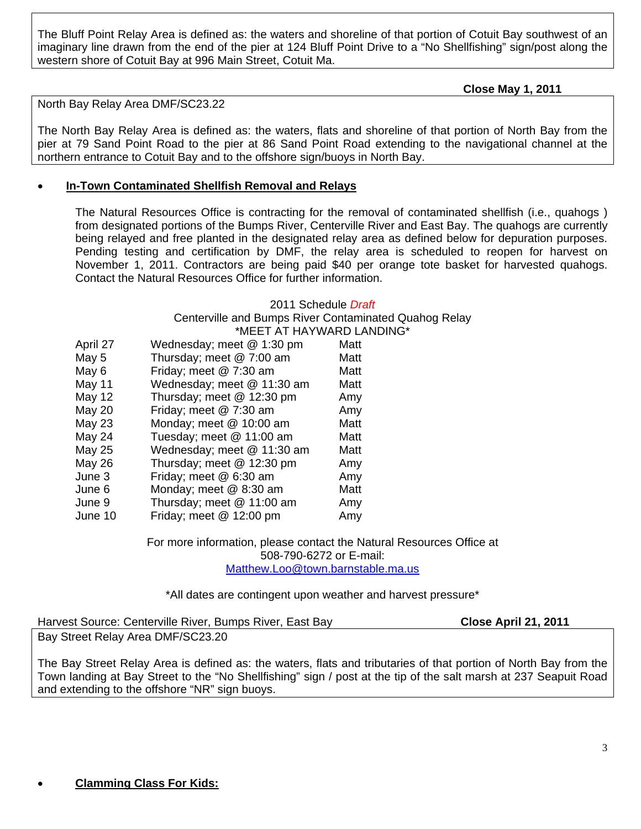The Bluff Point Relay Area is defined as: the waters and shoreline of that portion of Cotuit Bay southwest of an imaginary line drawn from the end of the pier at 124 Bluff Point Drive to a "No Shellfishing" sign/post along the western shore of Cotuit Bay at 996 Main Street, Cotuit Ma.

 **Close May 1, 2011** 

North Bay Relay Area DMF/SC23.22

The North Bay Relay Area is defined as: the waters, flats and shoreline of that portion of North Bay from the pier at 79 Sand Point Road to the pier at 86 Sand Point Road extending to the navigational channel at the northern entrance to Cotuit Bay and to the offshore sign/buoys in North Bay.

## **In-Town Contaminated Shellfish Removal and Relays**

The Natural Resources Office is contracting for the removal of contaminated shellfish (i.e., quahogs ) from designated portions of the Bumps River, Centerville River and East Bay. The quahogs are currently being relayed and free planted in the designated relay area as defined below for depuration purposes. Pending testing and certification by DMF, the relay area is scheduled to reopen for harvest on November 1, 2011. Contractors are being paid \$40 per orange tote basket for harvested quahogs. Contact the Natural Resources Office for further information.

#### 2011 Schedule *Draft*

Centerville and Bumps River Contaminated Quahog Relay \*MEET AT HAYWARD LANDING\*

| April 27      | Wednesday; meet @ 1:30 pm  | Matt |
|---------------|----------------------------|------|
| May 5         | Thursday; meet @ 7:00 am   | Matt |
| May 6         | Friday; meet @ 7:30 am     | Matt |
| May 11        | Wednesday; meet @ 11:30 am | Matt |
| May 12        | Thursday; meet @ 12:30 pm  | Amy  |
| May 20        | Friday; meet @ 7:30 am     | Amy  |
| May 23        | Monday; meet @ 10:00 am    | Matt |
| <b>May 24</b> | Tuesday; meet @ 11:00 am   | Matt |
| May 25        | Wednesday; meet @ 11:30 am | Matt |
| May 26        | Thursday; meet @ 12:30 pm  | Amy  |
| June 3        | Friday; meet @ 6:30 am     | Amy  |
| June 6        | Monday; meet @ 8:30 am     | Matt |
| June 9        | Thursday; meet @ 11:00 am  | Amy  |
| June 10       | Friday; meet @ 12:00 pm    | Amy  |

For more information, please contact the Natural Resources Office at 508-790-6272 or E-mail: Matthew.Loo@town.barnstable.ma.us

\*All dates are contingent upon weather and harvest pressure\*

Harvest Source: Centerville River, Bumps River, East Bay **Close April 21, 2011** Bay Street Relay Area DMF/SC23.20

The Bay Street Relay Area is defined as: the waters, flats and tributaries of that portion of North Bay from the Town landing at Bay Street to the "No Shellfishing" sign / post at the tip of the salt marsh at 237 Seapuit Road and extending to the offshore "NR" sign buoys.